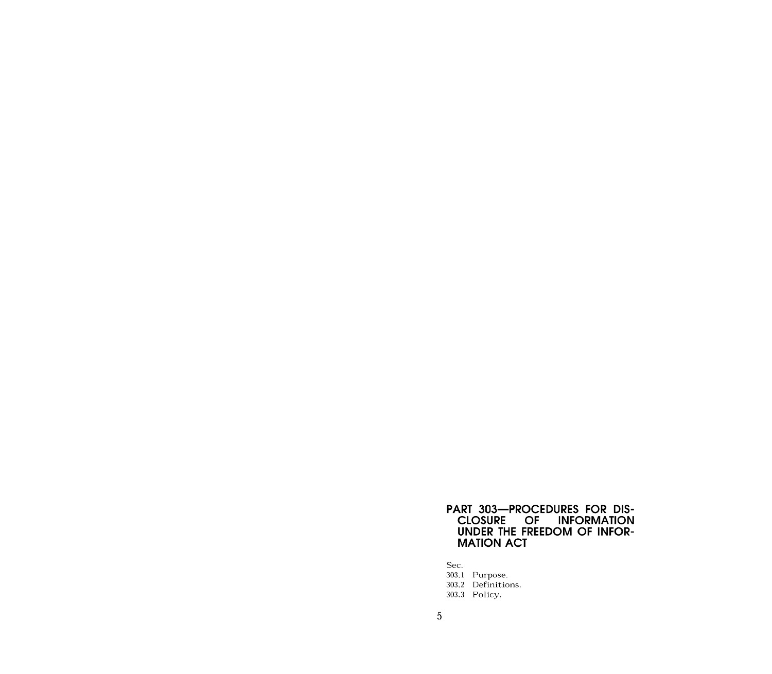# PART 303-PROCEDURES FOR DIS-<br>CLOSURE OF INFORMATION<br>UNDER THE FREEDOM OF INFOR-**MATION ACT**

Sec.

303.1 Purpose.<br>303.2 Definitions.

303.3 Policy.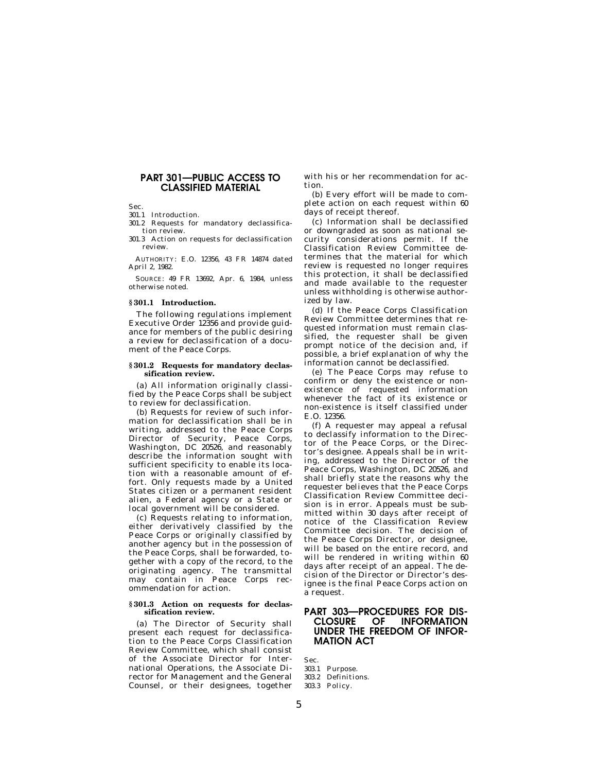# **PART 301—PUBLIC ACCESS TO CLASSIFIED MATERIAL**

Sec.

301.1 Introduction.

301.2 Requests for mandatory declassification review.

301.3 Action on requests for declassification review.

AUTHORITY: E.O. 12356, 43 FR 14874 dated April 2, 1982.

SOURCE: 49 FR 13692, Apr. 6, 1984, unless otherwise noted.

## **§ 301.1 Introduction.**

The following regulations implement Executive Order 12356 and provide guidance for members of the public desiring a review for declassification of a document of the Peace Corps.

#### **§ 301.2 Requests for mandatory declassification review.**

(a) All information originally classified by the Peace Corps shall be subject to review for declassification.

(b) Requests for review of such information for declassification shall be in writing, addressed to the Peace Corps Director of Security, Peace Corps, Washington, DC 20526, and reasonably describe the information sought with sufficient specificity to enable its location with a reasonable amount of effort. Only requests made by a United States citizen or a permanent resident alien, a Federal agency or a State or local government will be considered.

(c) Requests relating to information, either derivatively classified by the Peace Corps or originally classified by another agency but in the possession of the Peace Corps, shall be forwarded, together with a copy of the record, to the originating agency. The transmittal may contain in Peace Corps recommendation for action.

## **§ 301.3 Action on requests for declassification review.**

(a) The Director of Security shall present each request for declassification to the Peace Corps Classification Review Committee, which shall consist of the Associate Director for International Operations, the Associate Director for Management and the General Counsel, or their designees, together with his or her recommendation for action.

(b) Every effort will be made to complete action on each request within 60 days of receipt thereof.

(c) Information shall be declassified or downgraded as soon as national security considerations permit. If the Classification Review Committee determines that the material for which review is requested no longer requires this protection, it shall be declassified and made available to the requester unless withholding is otherwise authorized by law.

(d) If the Peace Corps Classification Review Committee determines that requested information must remain classified, the requester shall be given prompt notice of the decision and, if possible, a brief explanation of why the information cannot be declassified.

(e) The Peace Corps may refuse to confirm or deny the existence or nonexistence of requested information whenever the fact of its existence or non-existence is itself classified under E.O. 12356.

(f) A requester may appeal a refusal to declassify information to the Director of the Peace Corps, or the Director's designee. Appeals shall be in writing, addressed to the Director of the Peace Corps, Washington, DC 20526, and shall briefly state the reasons why the requester believes that the Peace Corps Classification Review Committee decision is in error. Appeals must be submitted within 30 days after receipt of notice of the Classification Review Committee decision. The decision of the Peace Corps Director, or designee, will be based on the entire record, and will be rendered in writing within 60 days after receipt of an appeal. The decision of the Director or Director's designee is the final Peace Corps action on a request.

# **PART 303—PROCEDURES FOR DIS-INFORMATION UNDER THE FREEDOM OF INFOR-MATION ACT**

Sec. 303.1 Purpose.

- 303.2 Definitions.
- 303.3 Policy.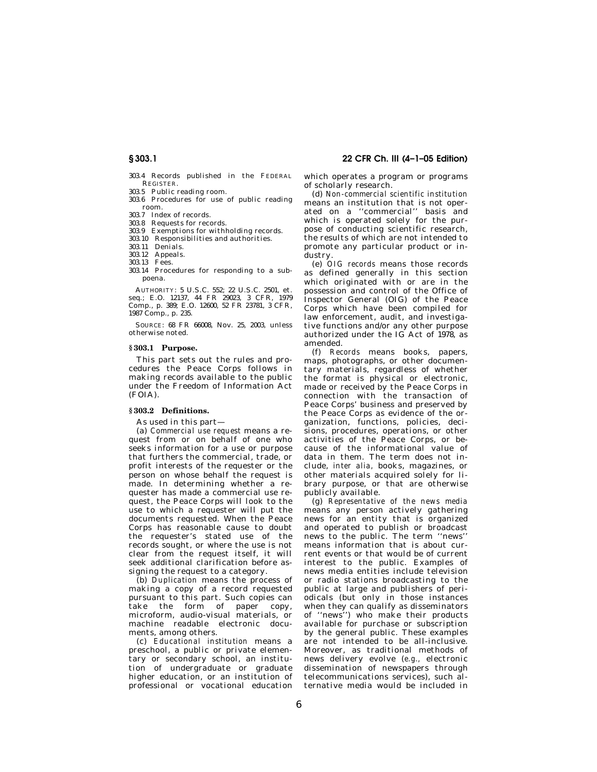303.4 Records published in the FEDERAL REGISTER.

- 303.5 Public reading room.
- 303.6 Procedures for use of public reading room.
- 303.7 Index of records.
- 303.8 Requests for records.
- 303.9 Exemptions for withholding records. 303.10 Responsibilities and authorities.
- 303.11 Denials.
- 303.12 Appeals.
- 303.13 Fees.
- 303.14 Procedures for responding to a subpoena.

AUTHORITY: 5 U.S.C. 552; 22 U.S.C. 2501, et. seq.; E.O. 12137, 44 FR 29023, 3 CFR, 1979 Comp., p. 389; E.O. 12600, 52 FR 23781, 3 CFR, 1987 Comp., p. 235.

SOURCE: 68 FR 66008, Nov. 25, 2003, unless otherwise noted.

## **§ 303.1 Purpose.**

This part sets out the rules and procedures the Peace Corps follows in making records available to the public under the Freedom of Information Act (FOIA).

## **§ 303.2 Definitions.**

As used in this part—

(a) *Commercial use request* means a request from or on behalf of one who seeks information for a use or purpose that furthers the commercial, trade, or profit interests of the requester or the person on whose behalf the request is .<br>made. In determining whether a requester has made a commercial use request, the Peace Corps will look to the use to which a requester will put the documents requested. When the Peace Corps has reasonable cause to doubt the requester's stated use of the records sought, or where the use is not clear from the request itself, it will seek additional clarification before assigning the request to a category.

(b) *Duplication* means the process of making a copy of a record requested pursuant to this part. Such copies can take the form of paper copy, microform, audio-visual materials, or machine readable electronic documents, among others.

(c) *Educational institution* means a preschool, a public or private elementary or secondary school, an institution of undergraduate or graduate higher education, or an institution of professional or vocational education

**§ 303.1 22 CFR Ch. III (4–1–05 Edition)** 

which operates a program or programs of scholarly research.

(d) *Non-commercial scientific institution*  means an institution that is not operated on a ''commercial'' basis and which is operated solely for the purpose of conducting scientific research, the results of which are not intended to promote any particular product or industry.

(e) *OIG records* means those records as defined generally in this section which originated with or are in the possession and control of the Office of Inspector General (OIG) of the Peace Corps which have been compiled for law enforcement, audit, and investigative functions and/or any other purpose authorized under the IG Act of 1978, as amended.

(f) *Records* means books, papers, maps, photographs, or other documentary materials, regardless of whether the format is physical or electronic, made or received by the Peace Corps in connection with the transaction of Peace Corps' business and preserved by the Peace Corps as evidence of the organization, functions, policies, decisions, procedures, operations, or other activities of the Peace Corps, or because of the informational value of data in them. The term does not include, *inter alia,* books, magazines, or other materials acquired solely for library purpose, or that are otherwise publicly available.

(g) *Representative of the news media*  means any person actively gathering news for an entity that is organized and operated to publish or broadcast news to the public. The term ''news'' means information that is about current events or that would be of current interest to the public. Examples of news media entities include television or radio stations broadcasting to the public at large and publishers of periodicals (but only in those instances when they can qualify as disseminators of ''news'') who make their products available for purchase or subscription by the general public. These examples are not intended to be all-inclusive. Moreover, as traditional methods of news delivery evolve (*e.g.,* electronic dissemination of newspapers through telecommunications services), such alternative media would be included in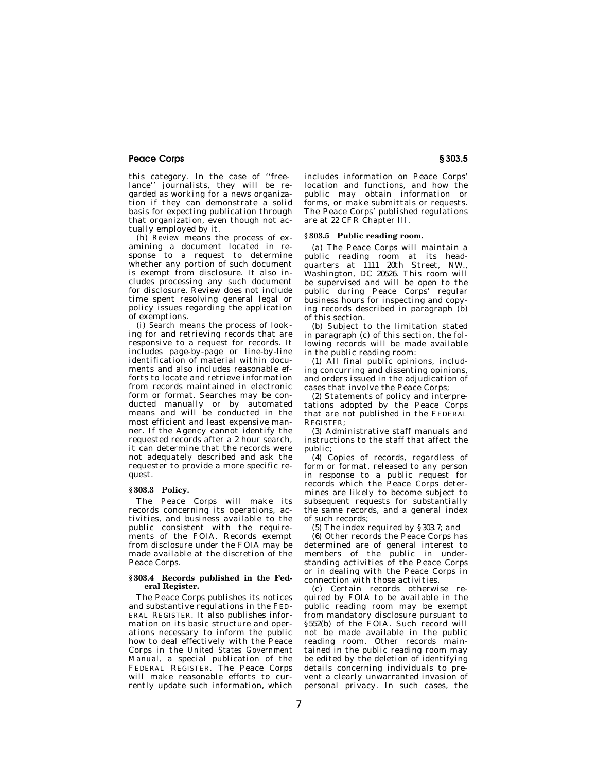this category. In the case of ''freelance'' journalists, they will be regarded as working for a news organization if they can demonstrate a solid basis for expecting publication through that organization, even though not actually employed by it.

(h) *Review* means the process of examining a document located in response to a request to determine whether any portion of such document is exempt from disclosure. It also includes processing any such document for disclosure. Review does not include time spent resolving general legal or policy issues regarding the application of exemptions.

(i) *Search* means the process of looking for and retrieving records that are responsive to a request for records. It includes page-by-page or line-by-line identification of material within documents and also includes reasonable efforts to locate and retrieve information from records maintained in electronic form or format. Searches may be conducted manually or by automated means and will be conducted in the most efficient and least expensive manner. If the Agency cannot identify the requested records after a 2 hour search, it can determine that the records were not adequately described and ask the requester to provide a more specific request.

#### **§ 303.3 Policy.**

The Peace Corps will make its records concerning its operations, activities, and business available to the public consistent with the requirements of the FOIA. Records exempt from disclosure under the FOIA may be made available at the discretion of the Peace Corps.

## **§ 303.4 Records published in the Federal Register.**

The Peace Corps publishes its notices and substantive regulations in the FED-ERAL REGISTER. It also publishes information on its basic structure and operations necessary to inform the public how to deal effectively with the Peace Corps in the *United States Government Manual,* a special publication of the FEDERAL REGISTER. The Peace Corps will make reasonable efforts to currently update such information, which

includes information on Peace Corps' location and functions, and how the public may obtain information or forms, or make submittals or requests. The Peace Corps' published regulations are at 22 CFR Chapter III.

# **§ 303.5 Public reading room.**

(a) The Peace Corps will maintain a public reading room at its headquarters at 1111 20th Street, NW., Washington, DC 20526. This room will be supervised and will be open to the public during Peace Corps' regular business hours for inspecting and copying records described in paragraph (b) of this section.

(b) Subject to the limitation stated in paragraph (c) of this section, the following records will be made available in the public reading room:

(1) All final public opinions, including concurring and dissenting opinions, and orders issued in the adjudication of cases that involve the Peace Corps;

(2) Statements of policy and interpretations adopted by the Peace Corps that are not published in the FEDERAL REGISTER;

(3) Administrative staff manuals and instructions to the staff that affect the public;

(4) Copies of records, regardless of form or format, released to any person in response to a public request for records which the Peace Corps determines are likely to become subject to subsequent requests for substantially the same records, and a general index of such records;

(5) The index required by §303.7; and

(6) Other records the Peace Corps has determined are of general interest to members of the public in understanding activities of the Peace Corps or in dealing with the Peace Corps in connection with those activities.

(c) Certain records otherwise required by FOIA to be available in the public reading room may be exempt from mandatory disclosure pursuant to §552(b) of the FOIA. Such record will not be made available in the public reading room. Other records maintained in the public reading room may be edited by the deletion of identifying details concerning individuals to prevent a clearly unwarranted invasion of personal privacy. In such cases, the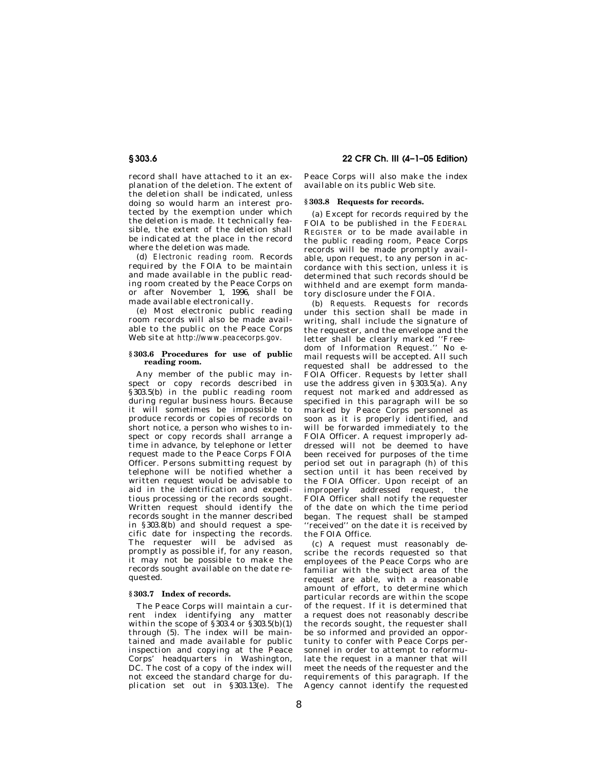record shall have attached to it an explanation of the deletion. The extent of the deletion shall be indicated, unless doing so would harm an interest protected by the exemption under which the deletion is made. It technically feasible, the extent of the deletion shall be indicated at the place in the record where the deletion was made.

(d) *Electronic reading room.* Records required by the FOIA to be maintain and made available in the public reading room created by the Peace Corps on or after November 1, 1996, shall be made available electronically.

(e) Most electronic public reading room records will also be made available to the public on the Peace Corps Web site at *http://www.peacecorps.gov.* 

## **§ 303.6 Procedures for use of public reading room.**

Any member of the public may inspect or copy records described in §303.5(b) in the public reading room during regular business hours. Because it will sometimes be impossible to produce records or copies of records on short notice, a person who wishes to inspect or copy records shall arrange a time in advance, by telephone or letter request made to the Peace Corps FOIA Officer. Persons submitting request by telephone will be notified whether a written request would be advisable to aid in the identification and expeditious processing or the records sought. Written request should identify the records sought in the manner described in §303.8(b) and should request a specific date for inspecting the records. The requester will be advised as promptly as possible if, for any reason, it may not be possible to make the records sought available on the date requested.

## **§ 303.7 Index of records.**

The Peace Corps will maintain a current index identifying any matter within the scope of  $\S 303.4$  or  $\S 303.5(b)(1)$ through (5). The index will be maintained and made available for public inspection and copying at the Peace Corps' headquarters in Washington, DC. The cost of a copy of the index will not exceed the standard charge for duplication set out in §303.13(e). The

# **§ 303.6 22 CFR Ch. III (4–1–05 Edition)**

Peace Corps will also make the index available on its public Web site.

# **§ 303.8 Requests for records.**

(a) Except for records required by the FOIA to be published in the FEDERAL REGISTER or to be made available in the public reading room, Peace Corps records will be made promptly available, upon request, to any person in accordance with this section, unless it is determined that such records should be withheld and are exempt form mandatory disclosure under the FOIA.

(b) *Requests.* Requests for records under this section shall be made in writing, shall include the signature of the requester, and the envelope and the letter shall be clearly marked ''Freedom of Information Request.'' No email requests will be accepted. All such requested shall be addressed to the FOIA Officer. Requests by letter shall use the address given in  $\S 303.5(a)$ . Any request not marked and addressed as specified in this paragraph will be so marked by Peace Corps personnel as soon as it is properly identified, and will be forwarded immediately to the FOIA Officer. A request improperly addressed will not be deemed to have been received for purposes of the time period set out in paragraph (h) of this section until it has been received by the FOIA Officer. Upon receipt of an improperly addressed request, the FOIA Officer shall notify the requester of the date on which the time period began. The request shall be stamped 'received'' on the date it is received by the FOIA Office.

(c) A request must reasonably describe the records requested so that employees of the Peace Corps who are familiar with the subject area of the request are able, with a reasonable amount of effort, to determine which particular records are within the scope of the request. If it is determined that a request does not reasonably describe the records sought, the requester shall be so informed and provided an opportunity to confer with Peace Corps personnel in order to attempt to reformulate the request in a manner that will meet the needs of the requester and the requirements of this paragraph. If the Agency cannot identify the requested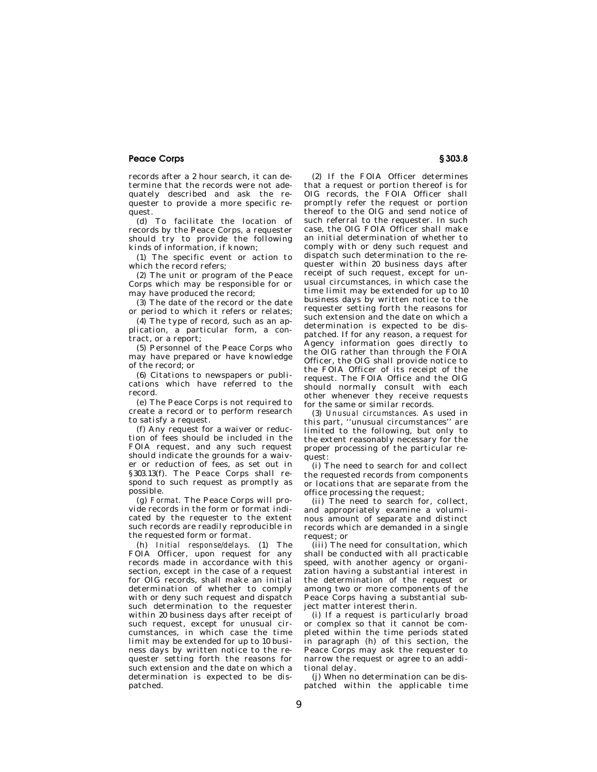records after a 2 hour search, it can determine that the records were not adequately described and ask the requester to provide a more specific request.

(d) To facilitate the location of records by the Peace Corps, a requester should try to provide the following kinds of information, if known;

(1) The specific event or action to which the record refers;

(2) The unit or program of the Peace Corps which may be responsible for or may have produced the record;

(3) The date of the record or the date or period to which it refers or relates;

(4) The type of record, such as an application, a particular form, a contract, or a report;

(5) Personnel of the Peace Corps who may have prepared or have knowledge of the record; or

(6) Citations to newspapers or publications which have referred to the record.

(e) The Peace Corps is not required to create a record or to perform research to satisfy a request.

(f) Any request for a waiver or reduction of fees should be included in the FOIA request, and any such request should indicate the grounds for a waiver or reduction of fees, as set out in §303.13(f). The Peace Corps shall respond to such request as promptly as possible.

(g) *Format.* The Peace Corps will provide records in the form or format indicated by the requester to the extent such records are readily reproducible in the requested form or format.

(h) *Initial response/delays.* (1) The FOIA Officer, upon request for any records made in accordance with this section, except in the case of a request for OIG records, shall make an initial determination of whether to comply with or deny such request and dispatch such determination to the requester within 20 business days after receipt of such request, except for unusual circumstances, in which case the time limit may be extended for up to 10 business days by written notice to the requester setting forth the reasons for such extension and the date on which a determination is expected to be dispatched.

(2) If the FOIA Officer determines that a request or portion thereof is for OIG records, the FOIA Officer shall promptly refer the request or portion thereof to the OIG and send notice of such referral to the requester. In such case, the OIG FOIA Officer shall make an initial determination of whether to comply with or deny such request and dispatch such determination to the requester within 20 business days after receipt of such request, except for unusual circumstances, in which case the time limit may be extended for up to 10 business days by written notice to the requester setting forth the reasons for such extension and the date on which a determination is expected to be dispatched. If for any reason, a request for Agency information goes directly to the OIG rather than through the FOIA Officer, the OIG shall provide notice to the FOIA Officer of its receipt of the request. The FOIA Office and the OIG should normally consult with each other whenever they receive requests for the same or similar records.

(3) *Unusual circumstances.* As used in this part, ''unusual circumstances'' are limited to the following, but only to the extent reasonably necessary for the proper processing of the particular request:

(i) The need to search for and collect the requested records from components or locations that are separate from the office processing the request;

(ii) The need to search for, collect, and appropriately examine a voluminous amount of separate and distinct records which are demanded in a single request; or

(iii) The need for consultation, which shall be conducted with all practicable speed, with another agency or organization having a substantial interest in the determination of the request or among two or more components of the Peace Corps having a substantial subject matter interest therin.

(i) If a request is particularly broad or complex so that it cannot be completed within the time periods stated in paragraph (h) of this section, the Peace Corps may ask the requester to narrow the request or agree to an additional delay.

(j) When no determination can be dispatched within the applicable time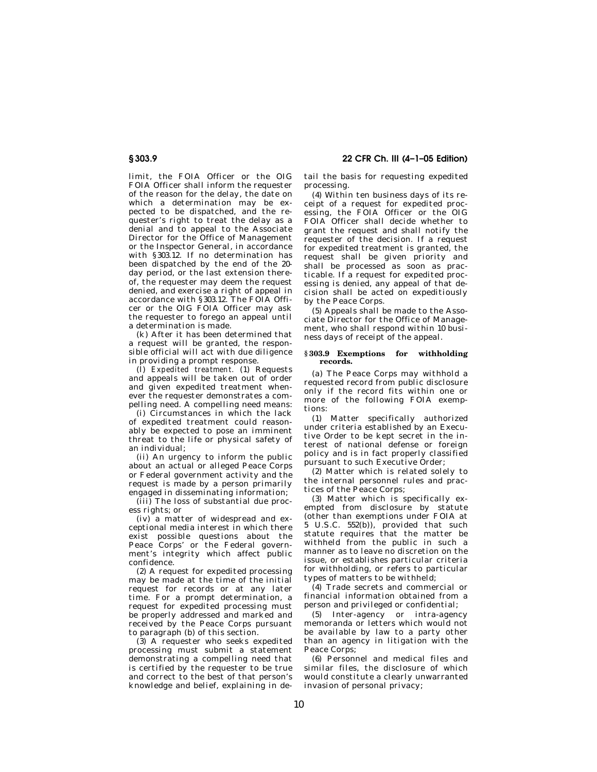# **§ 303.9 22 CFR Ch. III (4–1–05 Edition)**

limit, the FOIA Officer or the OIG FOIA Officer shall inform the requester of the reason for the delay, the date on which a determination may be expected to be dispatched, and the requester's right to treat the delay as a denial and to appeal to the Associate Director for the Office of Management or the Inspector General, in accordance with §303.12. If no determination has been dispatched by the end of the 20 day period, or the last extension thereof, the requester may deem the request denied, and exercise a right of appeal in accordance with §303.12. The FOIA Officer or the OIG FOIA Officer may ask the requester to forego an appeal until a determination is made.

(k) After it has been determined that a request will be granted, the responsible official will act with due diligence in providing a prompt response.

(l) *Expedited treatment.* (1) Requests and appeals will be taken out of order and given expedited treatment whenever the requester demonstrates a compelling need. A compelling need means:

(i) Circumstances in which the lack of expedited treatment could reasonably be expected to pose an imminent threat to the life or physical safety of an individual;

(ii) An urgency to inform the public about an actual or alleged Peace Corps or Federal government activity and the request is made by a person primarily engaged in disseminating information;

(iii) The loss of substantial due process rights; or

(iv) a matter of widespread and exceptional media interest in which there exist possible questions about the Peace Corps' or the Federal government's integrity which affect public confidence.

(2) A request for expedited processing may be made at the time of the initial request for records or at any later time. For a prompt determination, a request for expedited processing must be properly addressed and marked and received by the Peace Corps pursuant to paragraph (b) of this section.

(3) A requester who seeks expedited processing must submit a statement demonstrating a compelling need that is certified by the requester to be true and correct to the best of that person's knowledge and belief, explaining in detail the basis for requesting expedited processing.

(4) Within ten business days of its receipt of a request for expedited processing, the FOIA Officer or the OIG FOIA Officer shall decide whether to grant the request and shall notify the requester of the decision. If a request for expedited treatment is granted, the request shall be given priority and shall be processed as soon as practicable. If a request for expedited processing is denied, any appeal of that decision shall be acted on expeditiously by the Peace Corps.

(5) Appeals shall be made to the Associate Director for the Office of Management, who shall respond within 10 business days of receipt of the appeal.

## **§ 303.9 Exemptions for withholding records.**

(a) The Peace Corps may withhold a requested record from public disclosure only if the record fits within one or more of the following FOIA exemptions:

(1) Matter specifically authorized under criteria established by an Executive Order to be kept secret in the interest of national defense or foreign policy and is in fact properly classified pursuant to such Executive Order;

(2) Matter which is related solely to the internal personnel rules and practices of the Peace Corps;

(3) Matter which is specifically exempted from disclosure by statute (other than exemptions under FOIA at 5 U.S.C. 552(b)), provided that such statute requires that the matter be withheld from the public in such a manner as to leave no discretion on the issue, or establishes particular criteria for withholding, or refers to particular types of matters to be withheld;

(4) Trade secrets and commercial or financial information obtained from a person and privileged or confidential;

(5) Inter-agency or intra-agency memoranda or letters which would not be available by law to a party other than an agency in litigation with the Peace Corps;

(6) Personnel and medical files and similar files, the disclosure of which would constitute a clearly unwarranted invasion of personal privacy;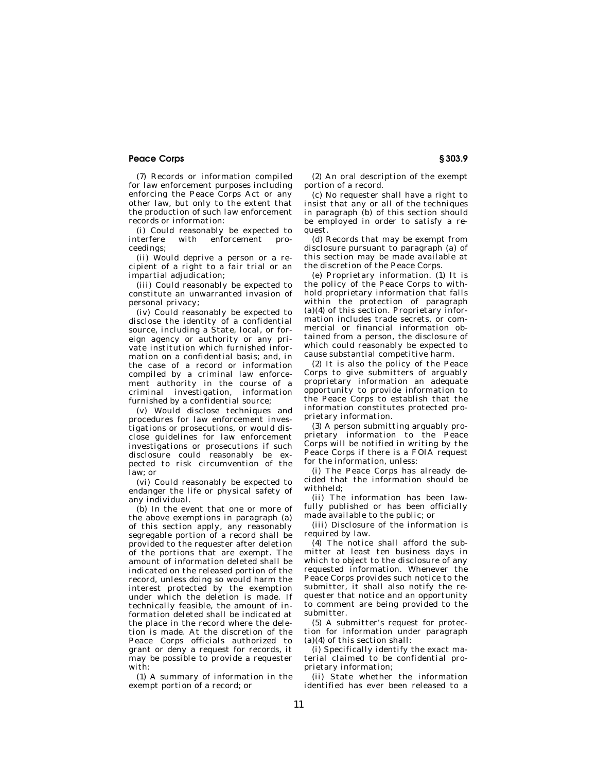(7) Records or information compiled for law enforcement purposes including enforcing the Peace Corps Act or any other law, but only to the extent that the production of such law enforcement records or information:

(i) Could reasonably be expected to interfere with enforcement proceedings;

(ii) Would deprive a person or a recipient of a right to a fair trial or an impartial adjudication;

(iii) Could reasonably be expected to constitute an unwarranted invasion of personal privacy;

(iv) Could reasonably be expected to disclose the identity of a confidential source, including a State, local, or foreign agency or authority or any private institution which furnished information on a confidential basis; and, in the case of a record or information compiled by a criminal law enforcement authority in the course of a criminal investigation, information furnished by a confidential source;

(v) Would disclose techniques and procedures for law enforcement investigations or prosecutions, or would disclose guidelines for law enforcement investigations or prosecutions if such disclosure could reasonably be expected to risk circumvention of the law; or

(vi) Could reasonably be expected to endanger the life or physical safety of any individual.

(b) In the event that one or more of the above exemptions in paragraph (a) of this section apply, any reasonably segregable portion of a record shall be provided to the requester after deletion of the portions that are exempt. The amount of information deleted shall be indicated on the released portion of the record, unless doing so would harm the interest protected by the exemption under which the deletion is made. If technically feasible, the amount of information deleted shall be indicated at the place in the record where the deletion is made. At the discretion of the Peace Corps officials authorized to grant or deny a request for records, it may be possible to provide a requester with:

(1) A summary of information in the exempt portion of a record; or

(2) An oral description of the exempt portion of a record.

(c) No requester shall have a right to insist that any or all of the techniques in paragraph (b) of this section should be employed in order to satisfy a request.

(d) Records that may be exempt from disclosure pursuant to paragraph (a) of this section may be made available at the discretion of the Peace Corps.

(e) Proprietary information. (1) It is the policy of the Peace Corps to withhold proprietary information that falls within the protection of paragraph (a)(4) of this section. Proprietary information includes trade secrets, or commercial or financial information obtained from a person, the disclosure of which could reasonably be expected to cause substantial competitive harm.

(2) It is also the policy of the Peace Corps to give submitters of arguably proprietary information an adequate opportunity to provide information to the Peace Corps to establish that the information constitutes protected proprietary information.

(3) A person submitting arguably proprietary information to the Peace Corps will be notified in writing by the Peace Corps if there is a FOIA request for the information, unless:

(i) The Peace Corps has already decided that the information should be withheld;

(ii) The information has been lawfully published or has been officially made available to the public; or

(iii) Disclosure of the information is required by law.

(4) The notice shall afford the submitter at least ten business days in which to object to the disclosure of any requested information. Whenever the Peace Corps provides such notice to the submitter, it shall also notify the requester that notice and an opportunity to comment are being provided to the submitter.

(5) A submitter's request for protection for information under paragraph (a)(4) of this section shall:

(i) Specifically identify the exact material claimed to be confidential proprietary information;

(ii) State whether the information identified has ever been released to a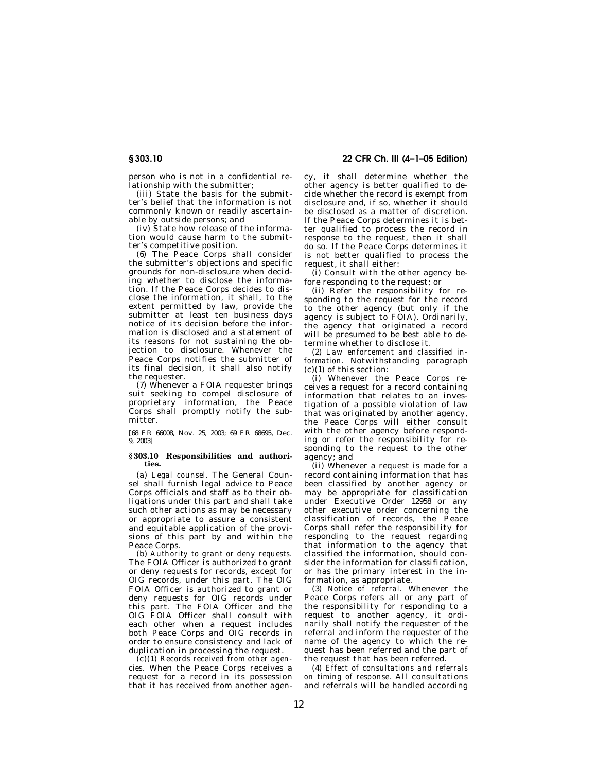person who is not in a confidential relationship with the submitter;

(iii) State the basis for the submitter's belief that the information is not commonly known or readily ascertainable by outside persons; and

(iv) State how release of the information would cause harm to the submitter's competitive position.

(6) The Peace Corps shall consider the submitter's objections and specific grounds for non-disclosure when deciding whether to disclose the information. If the Peace Corps decides to disclose the information, it shall, to the extent permitted by law, provide the submitter at least ten business days notice of its decision before the information is disclosed and a statement of its reasons for not sustaining the objection to disclosure. Whenever the Peace Corps notifies the submitter of its final decision, it shall also notify the requester.

(7) Whenever a FOIA requester brings suit seeking to compel disclosure of proprietary information, the Peace Corps shall promptly notify the submitter.

[68 FR 66008, Nov. 25, 2003; 69 FR 68695, Dec. 9, 2003]

## **§ 303.10 Responsibilities and authorities.**

(a) *Legal counsel.* The General Counsel shall furnish legal advice to Peace Corps officials and staff as to their obligations under this part and shall take such other actions as may be necessary or appropriate to assure a consistent and equitable application of the provisions of this part by and within the Peace Corps.

(b) *Authority to grant or deny requests.*  The FOIA Officer is authorized to grant or deny requests for records, except for OIG records, under this part. The OIG FOIA Officer is authorized to grant or deny requests for OIG records under this part. The FOIA Officer and the OIG FOIA Officer shall consult with each other when a request includes both Peace Corps and OIG records in order to ensure consistency and lack of duplication in processing the request.

(c)(1) *Records received from other agencies.* When the Peace Corps receives a request for a record in its possession that it has received from another agency, it shall determine whether the other agency is better qualified to decide whether the record is exempt from disclosure and, if so, whether it should be disclosed as a matter of discretion. If the Peace Corps determines it is better qualified to process the record in response to the request, then it shall do so. If the Peace Corps determines it is not better qualified to process the request, it shall either:

(i) Consult with the other agency before responding to the request; or

(ii) Refer the responsibility for responding to the request for the record to the other agency (but only if the agency is subject to FOIA). Ordinarily, the agency that originated a record will be presumed to be best able to determine whether to disclose it.

(2) *Law enforcement and classified information.* Notwithstanding paragraph (c)(1) of this section:

(i) Whenever the Peace Corps receives a request for a record containing information that relates to an investigation of a possible violation of law that was originated by another agency, the Peace Corps will either consult with the other agency before responding or refer the responsibility for responding to the request to the other agency; and

(ii) Whenever a request is made for a record containing information that has been classified by another agency or may be appropriate for classification under Executive Order 12958 or any other executive order concerning the classification of records, the Peace Corps shall refer the responsibility for responding to the request regarding that information to the agency that classified the information, should consider the information for classification, or has the primary interest in the information, as appropriate.

(3) *Notice of referral.* Whenever the Peace Corps refers all or any part of the responsibility for responding to a request to another agency, it ordinarily shall notify the requester of the referral and inform the requester of the name of the agency to which the request has been referred and the part of the request that has been referred.

(4) *Effect of consultations and referrals on timing of response.* All consultations and referrals will be handled according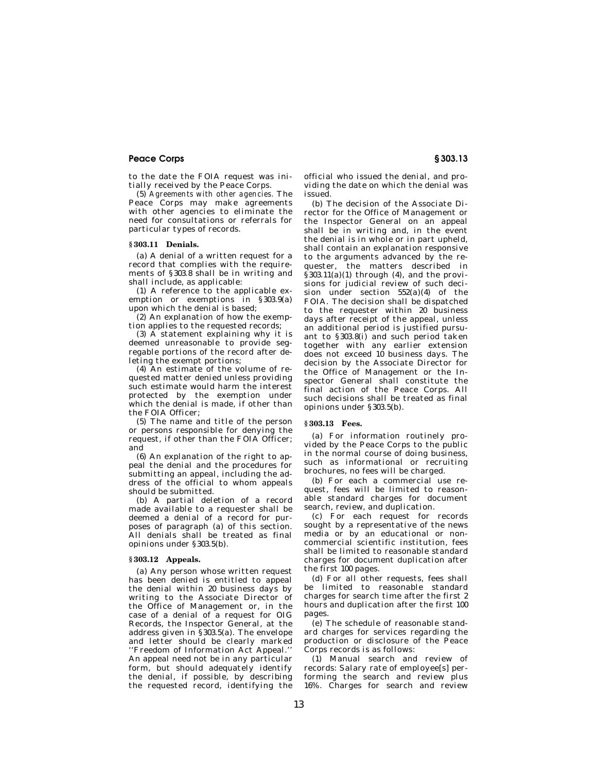to the date the FOIA request was initially received by the Peace Corps.

(5) *Agreements with other agencies.* The Peace Corps may make agreements with other agencies to eliminate the need for consultations or referrals for particular types of records.

#### **§ 303.11 Denials.**

(a) A denial of a written request for a record that complies with the requirements of §303.8 shall be in writing and shall include, as applicable:

(1) A reference to the applicable exemption or exemptions in §303.9(a) upon which the denial is based;

(2) An explanation of how the exemption applies to the requested records;

(3)  $\hat{A}$  statement explaining why it is deemed unreasonable to provide segregable portions of the record after deleting the exempt portions;

(4) An estimate of the volume of requested matter denied unless providing such estimate would harm the interest protected by the exemption under which the denial is made, if other than the FOIA Officer;

(5) The name and title of the person or persons responsible for denying the request, if other than the FOIA Officer; and

(6) An explanation of the right to appeal the denial and the procedures for submitting an appeal, including the address of the official to whom appeals should be submitted.

(b) A partial deletion of a record made available to a requester shall be deemed a denial of a record for purposes of paragraph (a) of this section. All denials shall be treated as final opinions under §303.5(b).

#### **§ 303.12 Appeals.**

(a) Any person whose written request has been denied is entitled to appeal the denial within 20 business days by writing to the Associate Director of the Office of Management or, in the case of a denial of a request for OIG Records, the Inspector General, at the address given in §303.5(a). The envelope and letter should be clearly marked ''Freedom of Information Act Appeal.'' An appeal need not be in any particular form, but should adequately identify the denial, if possible, by describing the requested record, identifying the

official who issued the denial, and providing the date on which the denial was issued.

(b) The decision of the Associate Director for the Office of Management or the Inspector General on an appeal shall be in writing and, in the event the denial is in whole or in part upheld, shall contain an explanation responsive to the arguments advanced by the requester, the matters described in  $§303.11(a)(1)$  through  $(4)$ , and the provisions for judicial review of such decision under section  $552(a)(4)$  of the FOIA. The decision shall be dispatched to the requester within 20 business days after receipt of the appeal, unless an additional period is justified pursuant to §303.8(i) and such period taken together with any earlier extension does not exceed 10 business days. The decision by the Associate Director for the Office of Management or the Inspector General shall constitute the final action of the Peace Corps. All such decisions shall be treated as final opinions under §303.5(b).

## **§ 303.13 Fees.**

(a) For information routinely provided by the Peace Corps to the public in the normal course of doing business, such as informational or recruiting brochures, no fees will be charged.

(b) For each a commercial use request, fees will be limited to reasonable standard charges for document search, review, and duplication.

(c) For each request for records sought by a representative of the news media or by an educational or noncommercial scientific institution, fees shall be limited to reasonable standard charges for document duplication after the first 100 pages.

(d) For all other requests, fees shall be limited to reasonable standard charges for search time after the first 2 hours and duplication after the first 100 pages.

(e) The schedule of reasonable standard charges for services regarding the production or disclosure of the Peace Corps records is as follows:

(1) Manual search and review of records: Salary rate of employee[s] performing the search and review plus 16%. Charges for search and review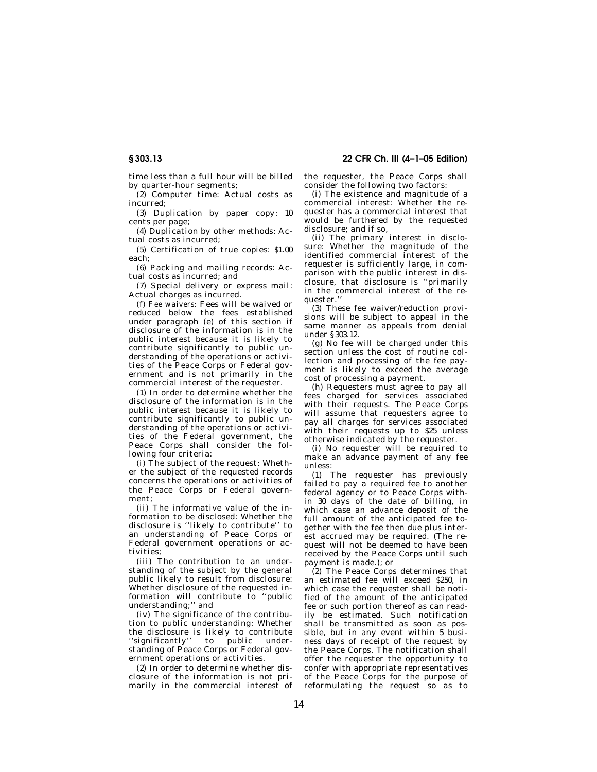time less than a full hour will be billed by quarter-hour segments;

(2) Computer time: Actual costs as incurred;

(3) Duplication by paper copy: 10 cents per page;

(4) Duplication by other methods: Actual costs as incurred;

(5) Certification of true copies: \$1.00 each;

(6) Packing and mailing records: Actual costs as incurred; and

(7) Special delivery or express mail: Actual charges as incurred.

(f) *Fee waivers:* Fees will be waived or reduced below the fees established under paragraph (e) of this section if disclosure of the information is in the public interest because it is likely to contribute significantly to public understanding of the operations or activities of the Peace Corps or Federal government and is not primarily in the commercial interest of the requester.

(1) In order to determine whether the disclosure of the information is in the public interest because it is likely to contribute significantly to public understanding of the operations or activities of the Federal government, the Peace Corps shall consider the following four criteria:

(i) The subject of the request: Whether the subject of the requested records concerns the operations or activities of the Peace Corps or Federal government;

(ii) The informative value of the information to be disclosed: Whether the disclosure is ''likely to contribute'' to an understanding of Peace Corps or Federal government operations or activities;

(iii) The contribution to an understanding of the subject by the general public likely to result from disclosure: Whether disclosure of the requested information will contribute to ''public understanding;'' and

(iv) The significance of the contribution to public understanding: Whether the disclosure is likely to contribute "significantly" to public understanding of Peace Corps or Federal government operations or activities.

(2) In order to determine whether disclosure of the information is not primarily in the commercial interest of

**§ 303.13 22 CFR Ch. III (4–1–05 Edition)** 

the requester, the Peace Corps shall consider the following two factors:

(i) The existence and magnitude of a commercial interest: Whether the requester has a commercial interest that would be furthered by the requested disclosure; and if so,

(ii) The primary interest in disclosure: Whether the magnitude of the identified commercial interest of the requester is sufficiently large, in comparison with the public interest in disclosure, that disclosure is ''primarily in the commercial interest of the requester.''

(3) These fee waiver/reduction provisions will be subject to appeal in the same manner as appeals from denial under §303.12.

(g) No fee will be charged under this section unless the cost of routine collection and processing of the fee payment is likely to exceed the average cost of processing a payment.

(h) Requesters must agree to pay all fees charged for services associated with their requests. The Peace Corps will assume that requesters agree to pay all charges for services associated with their requests up to \$25 unless otherwise indicated by the requester.

(i) No requester will be required to make an advance payment of any fee unless:

(1) The requester has previously failed to pay a required fee to another federal agency or to Peace Corps within 30 days of the date of billing, in which case an advance deposit of the full amount of the anticipated fee together with the fee then due plus interest accrued may be required. (The request will not be deemed to have been received by the Peace Corps until such payment is made.); or

(2) The Peace Corps determines that an estimated fee will exceed \$250, in which case the requester shall be notified of the amount of the anticipated fee or such portion thereof as can readily be estimated. Such notification shall be transmitted as soon as possible, but in any event within 5 business days of receipt of the request by the Peace Corps. The notification shall offer the requester the opportunity to confer with appropriate representatives of the Peace Corps for the purpose of reformulating the request so as to